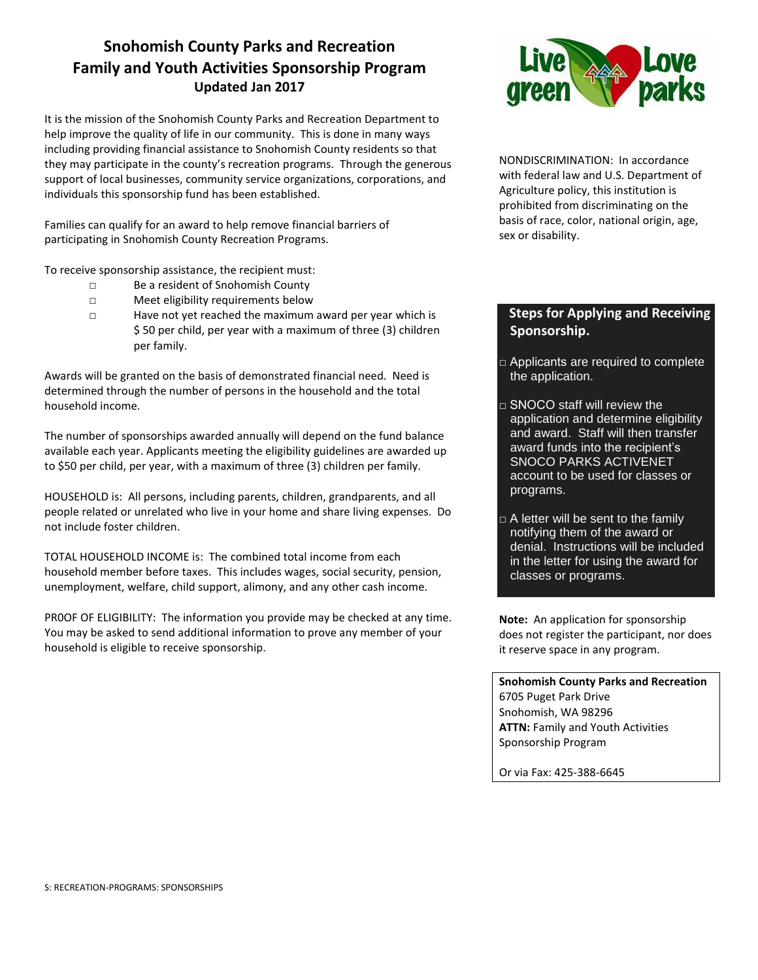## **Snohomish County Parks and Recreation Family and Youth Activities Sponsorship Program Updated Jan 2017**

It is the mission of the Snohomish County Parks and Recreation Department to help improve the quality of life in our community. This is done in many ways including providing financial assistance to Snohomish County residents so that they may participate in the county's recreation programs. Through the generous support of local businesses, community service organizations, corporations, and individuals this sponsorship fund has been established.

Families can qualify for an award to help remove financial barriers of participating in Snohomish County Recreation Programs.

To receive sponsorship assistance, the recipient must:

- □ Be a resident of Snohomish County
- □ Meet eligibility requirements below
- □ Have not yet reached the maximum award per year which is \$ 50 per child, per year with a maximum of three (3) children per family.

Awards will be granted on the basis of demonstrated financial need. Need is determined through the number of persons in the household and the total household income.

The number of sponsorships awarded annually will depend on the fund balance available each year. Applicants meeting the eligibility guidelines are awarded up to \$50 per child, per year, with a maximum of three (3) children per family.

HOUSEHOLD is: All persons, including parents, children, grandparents, and all people related or unrelated who live in your home and share living expenses. Do not include foster children.

TOTAL HOUSEHOLD INCOME is: The combined total income from each household member before taxes. This includes wages, social security, pension, unemployment, welfare, child support, alimony, and any other cash income.

PR0OF OF ELIGIBILITY: The information you provide may be checked at any time. You may be asked to send additional information to prove any member of your household is eligible to receive sponsorship.



NONDISCRIMINATION: In accordance with federal law and U.S. Department of Agriculture policy, this institution is prohibited from discriminating on the basis of race, color, national origin, age, sex or disability.

## **Steps for Applying and Receiving Sponsorship.**

- □ Applicants are required to complete the application.
- □ SNOCO staff will review the application and determine eligibility and award. Staff will then transfer award funds into the recipient's SNOCO PARKS ACTIVENET account to be used for classes or programs.
- $\Box$  A letter will be sent to the family notifying them of the award or denial. Instructions will be included in the letter for using the award for classes or programs.

**Note:** An application for sponsorship does not register the participant, nor does it reserve space in any program.

**Snohomish County Parks and Recreation** 6705 Puget Park Drive Snohomish, WA 98296 **ATTN:** Family and Youth Activities Sponsorship Program

Or via Fax: 425-388-6645